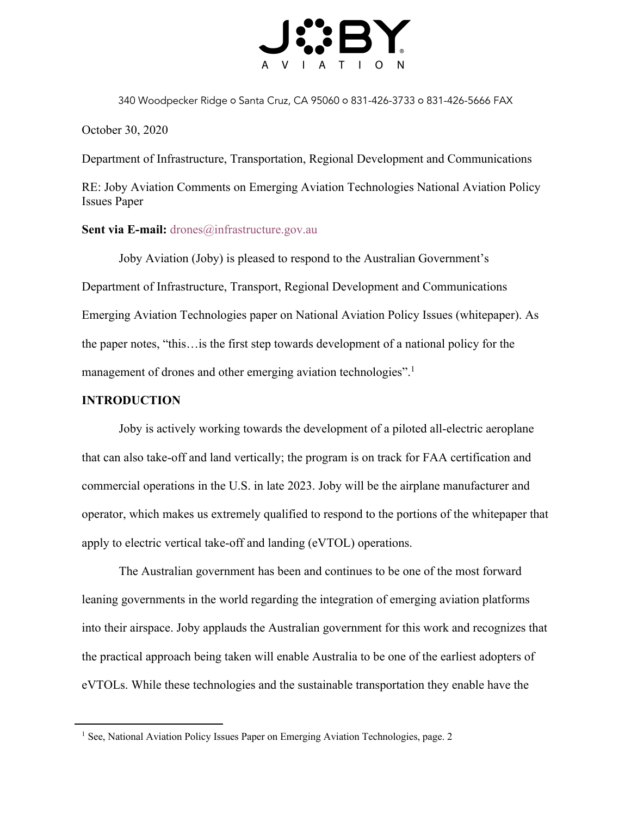

340 Woodpecker Ridge o Santa Cruz, CA 95060 o 831-426-3733 o 831-426-5666 FAX

October 30, 2020

Department of Infrastructure, Transportation, Regional Development and Communications

RE: Joby Aviation Comments on Emerging Aviation Technologies National Aviation Policy Issues Paper

### Sent via E-mail: drones@infrastructure.gov.au

Joby Aviation (Joby) is pleased to respond to the Australian Government's Department of Infrastructure, Transport, Regional Development and Communications Emerging Aviation Technologies paper on National Aviation Policy Issues (whitepaper). As the paper notes, "this…is the first step towards development of a national policy for the management of drones and other emerging aviation technologies".<sup>1</sup>

### **INTRODUCTION**

Joby is actively working towards the development of a piloted all-electric aeroplane that can also take-off and land vertically; the program is on track for FAA certification and commercial operations in the U.S. in late 2023. Joby will be the airplane manufacturer and operator, which makes us extremely qualified to respond to the portions of the whitepaper that apply to electric vertical take-off and landing (eVTOL) operations.

The Australian government has been and continues to be one of the most forward leaning governments in the world regarding the integration of emerging aviation platforms into their airspace. Joby applauds the Australian government for this work and recognizes that the practical approach being taken will enable Australia to be one of the earliest adopters of eVTOLs. While these technologies and the sustainable transportation they enable have the

<sup>&</sup>lt;sup>1</sup> See, National Aviation Policy Issues Paper on Emerging Aviation Technologies, page. 2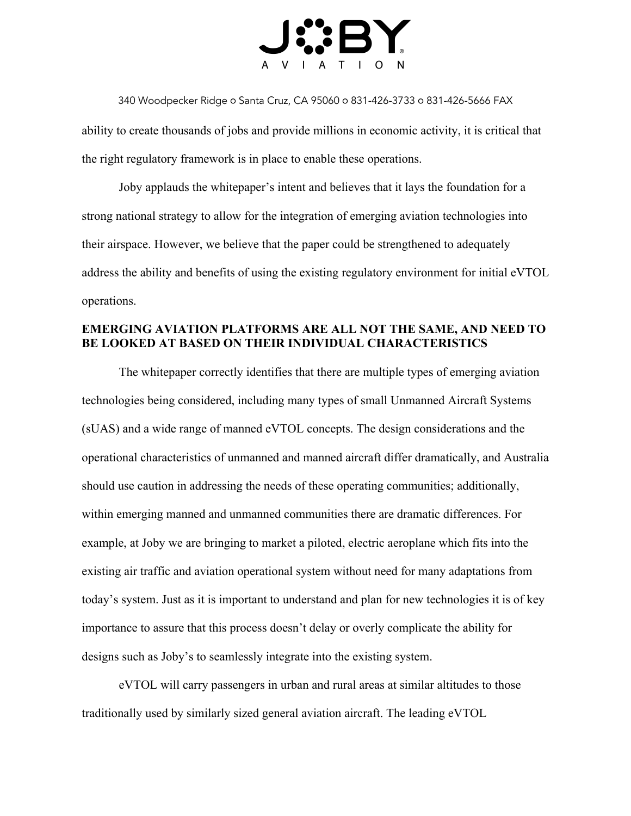

340 Woodpecker Ridge ○ Santa Cruz, CA 95060 ○ 831-426-3733 ○ 831-426-5666 FAX

ability to create thousands of jobs and provide millions in economic activity, it is critical that the right regulatory framework is in place to enable these operations.

Joby applauds the whitepaper's intent and believes that it lays the foundation for a strong national strategy to allow for the integration of emerging aviation technologies into their airspace. However, we believe that the paper could be strengthened to adequately address the ability and benefits of using the existing regulatory environment for initial eVTOL operations.

# **EMERGING AVIATION PLATFORMS ARE ALL NOT THE SAME, AND NEED TO BE LOOKED AT BASED ON THEIR INDIVIDUAL CHARACTERISTICS**

The whitepaper correctly identifies that there are multiple types of emerging aviation technologies being considered, including many types of small Unmanned Aircraft Systems (sUAS) and a wide range of manned eVTOL concepts. The design considerations and the operational characteristics of unmanned and manned aircraft differ dramatically, and Australia should use caution in addressing the needs of these operating communities; additionally, within emerging manned and unmanned communities there are dramatic differences. For example, at Joby we are bringing to market a piloted, electric aeroplane which fits into the existing air traffic and aviation operational system without need for many adaptations from today's system. Just as it is important to understand and plan for new technologies it is of key importance to assure that this process doesn't delay or overly complicate the ability for designs such as Joby's to seamlessly integrate into the existing system.

eVTOL will carry passengers in urban and rural areas at similar altitudes to those traditionally used by similarly sized general aviation aircraft. The leading eVTOL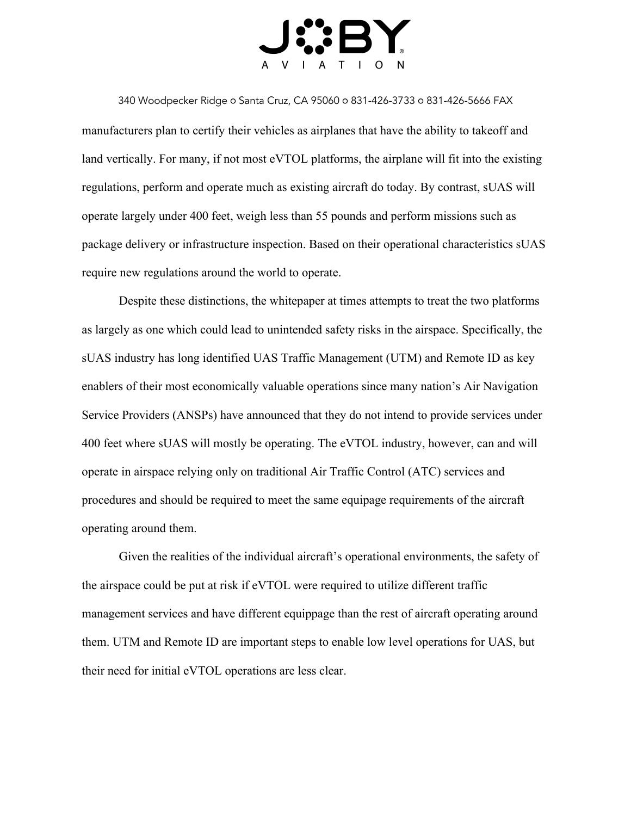

340 Woodpecker Ridge ○ Santa Cruz, CA 95060 ○ 831-426-3733 ○ 831-426-5666 FAX manufacturers plan to certify their vehicles as airplanes that have the ability to takeoff and land vertically. For many, if not most eVTOL platforms, the airplane will fit into the existing regulations, perform and operate much as existing aircraft do today. By contrast, sUAS will operate largely under 400 feet, weigh less than 55 pounds and perform missions such as package delivery or infrastructure inspection. Based on their operational characteristics sUAS require new regulations around the world to operate.

Despite these distinctions, the whitepaper at times attempts to treat the two platforms as largely as one which could lead to unintended safety risks in the airspace. Specifically, the sUAS industry has long identified UAS Traffic Management (UTM) and Remote ID as key enablers of their most economically valuable operations since many nation's Air Navigation Service Providers (ANSPs) have announced that they do not intend to provide services under 400 feet where sUAS will mostly be operating. The eVTOL industry, however, can and will operate in airspace relying only on traditional Air Traffic Control (ATC) services and procedures and should be required to meet the same equipage requirements of the aircraft operating around them.

Given the realities of the individual aircraft's operational environments, the safety of the airspace could be put at risk if eVTOL were required to utilize different traffic management services and have different equippage than the rest of aircraft operating around them. UTM and Remote ID are important steps to enable low level operations for UAS, but their need for initial eVTOL operations are less clear.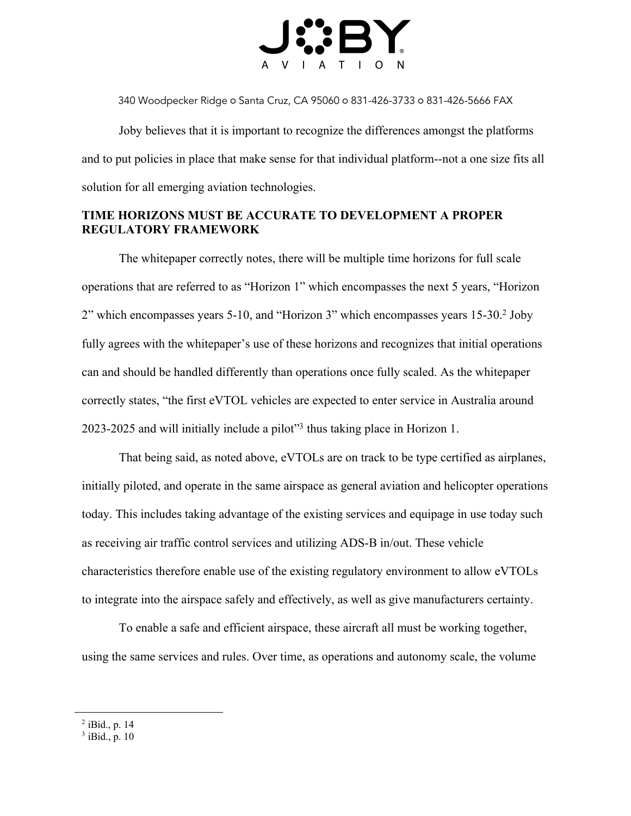

340 Woodpecker Ridge ○ Santa Cruz, CA 95060 ○ 831-426-3733 ○ 831-426-5666 FAX

Joby believes that it is important to recognize the differences amongst the platforms and to put policies in place that make sense for that individual platform--not a one size fits all solution for all emerging aviation technologies.

## **TIME HORIZONS MUST BE ACCURATE TO DEVELOPMENT A PROPER REGULATORY FRAMEWORK**

The whitepaper correctly notes, there will be multiple time horizons for full scale operations that are referred to as "Horizon 1" which encompasses the next 5 years, "Horizon 2" which encompasses years 5-10, and "Horizon 3" which encompasses years 15-30.2 Joby fully agrees with the whitepaper's use of these horizons and recognizes that initial operations can and should be handled differently than operations once fully scaled. As the whitepaper correctly states, "the first eVTOL vehicles are expected to enter service in Australia around 2023-2025 and will initially include a pilot"3 thus taking place in Horizon 1.

That being said, as noted above, eVTOLs are on track to be type certified as airplanes, initially piloted, and operate in the same airspace as general aviation and helicopter operations today. This includes taking advantage of the existing services and equipage in use today such as receiving air traffic control services and utilizing ADS-B in/out. These vehicle characteristics therefore enable use of the existing regulatory environment to allow eVTOLs to integrate into the airspace safely and effectively, as well as give manufacturers certainty.

To enable a safe and efficient airspace, these aircraft all must be working together, using the same services and rules. Over time, as operations and autonomy scale, the volume

<sup>2</sup> iBid., p. 14

 $3$  iBid., p. 10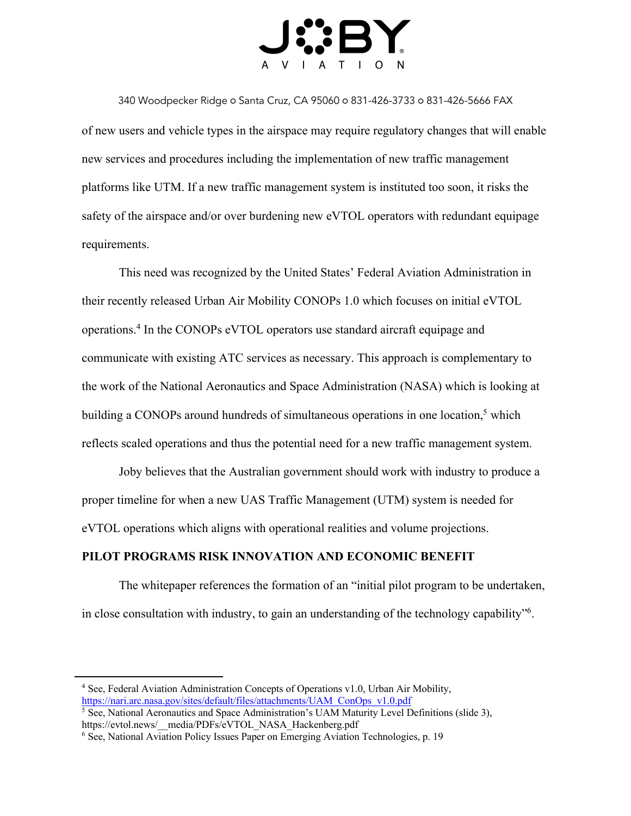

340 Woodpecker Ridge ○ Santa Cruz, CA 95060 ○ 831-426-3733 ○ 831-426-5666 FAX of new users and vehicle types in the airspace may require regulatory changes that will enable new services and procedures including the implementation of new traffic management platforms like UTM. If a new traffic management system is instituted too soon, it risks the safety of the airspace and/or over burdening new eVTOL operators with redundant equipage requirements.

This need was recognized by the United States' Federal Aviation Administration in their recently released Urban Air Mobility CONOPs 1.0 which focuses on initial eVTOL operations.4 In the CONOPs eVTOL operators use standard aircraft equipage and communicate with existing ATC services as necessary. This approach is complementary to the work of the National Aeronautics and Space Administration (NASA) which is looking at building a CONOPs around hundreds of simultaneous operations in one location,<sup>5</sup> which reflects scaled operations and thus the potential need for a new traffic management system.

Joby believes that the Australian government should work with industry to produce a proper timeline for when a new UAS Traffic Management (UTM) system is needed for eVTOL operations which aligns with operational realities and volume projections.

### **PILOT PROGRAMS RISK INNOVATION AND ECONOMIC BENEFIT**

The whitepaper references the formation of an "initial pilot program to be undertaken, in close consultation with industry, to gain an understanding of the technology capability"6.

<sup>4</sup> See, Federal Aviation Administration Concepts of Operations v1.0, Urban Air Mobility, https://nari.arc.nasa.gov/sites/default/files/attachments/UAM\_ConOps\_v1.0.pdf

<sup>&</sup>lt;sup>5</sup> See, National Aeronautics and Space Administration's UAM Maturity Level Definitions (slide 3), https://evtol.news/\_\_media/PDFs/eVTOL\_NASA\_Hackenberg.pdf

<sup>&</sup>lt;sup>6</sup> See, National Aviation Policy Issues Paper on Emerging Aviation Technologies, p. 19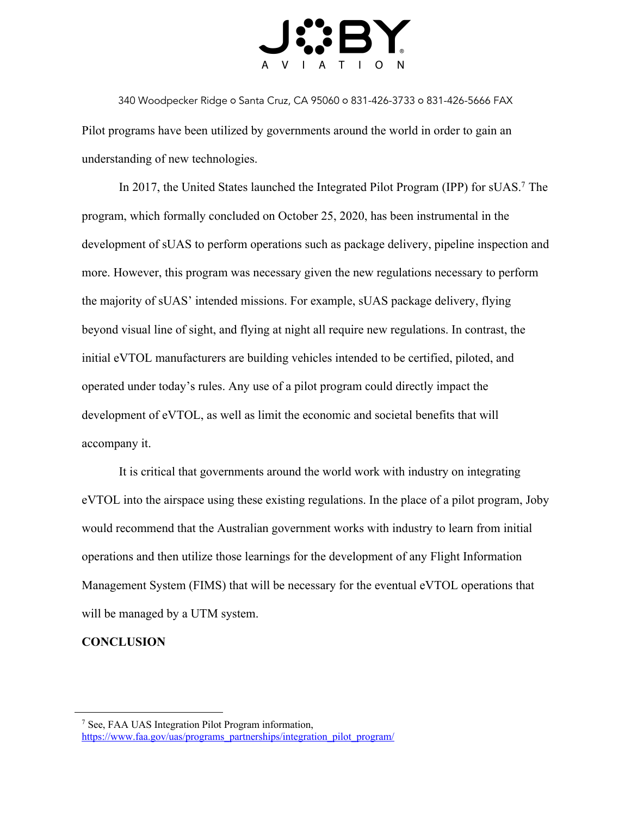

340 Woodpecker Ridge ○ Santa Cruz, CA 95060 ○ 831-426-3733 ○ 831-426-5666 FAX Pilot programs have been utilized by governments around the world in order to gain an understanding of new technologies.

In 2017, the United States launched the Integrated Pilot Program (IPP) for sUAS.<sup>7</sup> The program, which formally concluded on October 25, 2020, has been instrumental in the development of sUAS to perform operations such as package delivery, pipeline inspection and more. However, this program was necessary given the new regulations necessary to perform the majority of sUAS' intended missions. For example, sUAS package delivery, flying beyond visual line of sight, and flying at night all require new regulations. In contrast, the initial eVTOL manufacturers are building vehicles intended to be certified, piloted, and operated under today's rules. Any use of a pilot program could directly impact the development of eVTOL, as well as limit the economic and societal benefits that will accompany it.

It is critical that governments around the world work with industry on integrating eVTOL into the airspace using these existing regulations. In the place of a pilot program, Joby would recommend that the Australian government works with industry to learn from initial operations and then utilize those learnings for the development of any Flight Information Management System (FIMS) that will be necessary for the eventual eVTOL operations that will be managed by a UTM system.

### **CONCLUSION**

<sup>7</sup> See, FAA UAS Integration Pilot Program information, https://www.faa.gov/uas/programs\_partnerships/integration\_pilot\_program/